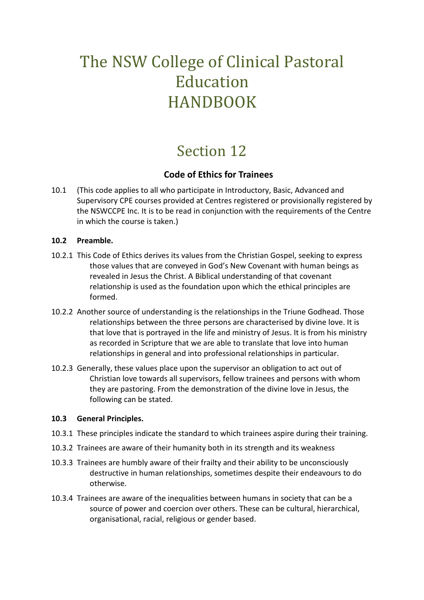# The NSW College of Clinical Pastoral Education HANDBOOK

## Section 12

### **Code of Ethics for Trainees**

10.1 (This code applies to all who participate in Introductory, Basic, Advanced and Supervisory CPE courses provided at Centres registered or provisionally registered by the NSWCCPE Inc. It is to be read in conjunction with the requirements of the Centre in which the course is taken.)

#### **10.2 Preamble.**

- 10.2.1 This Code of Ethics derives its values from the Christian Gospel, seeking to express those values that are conveyed in God's New Covenant with human beings as revealed in Jesus the Christ. A Biblical understanding of that covenant relationship is used as the foundation upon which the ethical principles are formed.
- 10.2.2 Another source of understanding is the relationships in the Triune Godhead. Those relationships between the three persons are characterised by divine love. It is that love that is portrayed in the life and ministry of Jesus. It is from his ministry as recorded in Scripture that we are able to translate that love into human relationships in general and into professional relationships in particular.
- 10.2.3 Generally, these values place upon the supervisor an obligation to act out of Christian love towards all supervisors, fellow trainees and persons with whom they are pastoring. From the demonstration of the divine love in Jesus, the following can be stated.

#### **10.3 General Principles.**

- 10.3.1 These principles indicate the standard to which trainees aspire during their training.
- 10.3.2 Trainees are aware of their humanity both in its strength and its weakness
- 10.3.3 Trainees are humbly aware of their frailty and their ability to be unconsciously destructive in human relationships, sometimes despite their endeavours to do otherwise.
- 10.3.4 Trainees are aware of the inequalities between humans in society that can be a source of power and coercion over others. These can be cultural, hierarchical, organisational, racial, religious or gender based.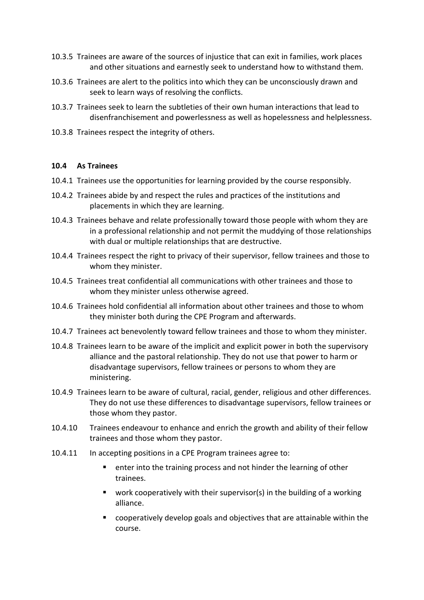- 10.3.5 Trainees are aware of the sources of injustice that can exit in families, work places and other situations and earnestly seek to understand how to withstand them.
- 10.3.6 Trainees are alert to the politics into which they can be unconsciously drawn and seek to learn ways of resolving the conflicts.
- 10.3.7 Trainees seek to learn the subtleties of their own human interactions that lead to disenfranchisement and powerlessness as well as hopelessness and helplessness.
- 10.3.8 Trainees respect the integrity of others.

#### **10.4 As Trainees**

- 10.4.1 Trainees use the opportunities for learning provided by the course responsibly.
- 10.4.2 Trainees abide by and respect the rules and practices of the institutions and placements in which they are learning.
- 10.4.3 Trainees behave and relate professionally toward those people with whom they are in a professional relationship and not permit the muddying of those relationships with dual or multiple relationships that are destructive.
- 10.4.4 Trainees respect the right to privacy of their supervisor, fellow trainees and those to whom they minister.
- 10.4.5 Trainees treat confidential all communications with other trainees and those to whom they minister unless otherwise agreed.
- 10.4.6 Trainees hold confidential all information about other trainees and those to whom they minister both during the CPE Program and afterwards.
- 10.4.7 Trainees act benevolently toward fellow trainees and those to whom they minister.
- 10.4.8 Trainees learn to be aware of the implicit and explicit power in both the supervisory alliance and the pastoral relationship. They do not use that power to harm or disadvantage supervisors, fellow trainees or persons to whom they are ministering.
- 10.4.9 Trainees learn to be aware of cultural, racial, gender, religious and other differences. They do not use these differences to disadvantage supervisors, fellow trainees or those whom they pastor.
- 10.4.10 Trainees endeavour to enhance and enrich the growth and ability of their fellow trainees and those whom they pastor.
- 10.4.11 In accepting positions in a CPE Program trainees agree to:
	- enter into the training process and not hinder the learning of other trainees.
	- $\blacksquare$  work cooperatively with their supervisor(s) in the building of a working alliance.
	- cooperatively develop goals and objectives that are attainable within the course.